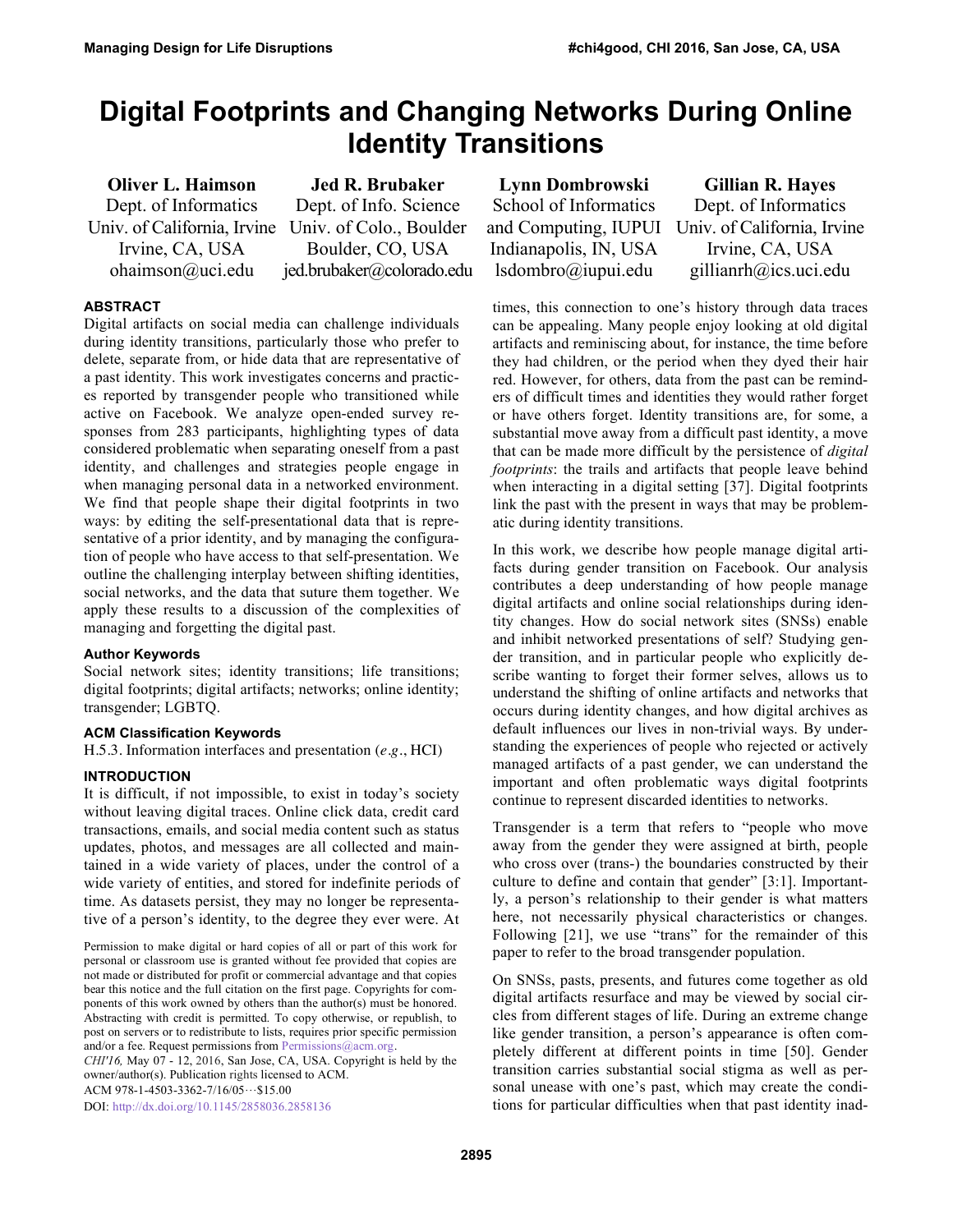# **Digital Footprints and Changing Networks During Online Identity Transitions**

**Oliver L. Haimson** Dept. of Informatics Univ. of California, Irvine Irvine, CA, USA ohaimson@uci.edu

**Jed R. Brubaker** Dept. of Info. Science Univ. of Colo., Boulder Boulder, CO, USA jed.brubaker@colorado.edu

## **ABSTRACT**

Digital artifacts on social media can challenge individuals during identity transitions, particularly those who prefer to delete, separate from, or hide data that are representative of a past identity. This work investigates concerns and practices reported by transgender people who transitioned while active on Facebook. We analyze open-ended survey responses from 283 participants, highlighting types of data considered problematic when separating oneself from a past identity, and challenges and strategies people engage in when managing personal data in a networked environment. We find that people shape their digital footprints in two ways: by editing the self-presentational data that is representative of a prior identity, and by managing the configuration of people who have access to that self-presentation. We outline the challenging interplay between shifting identities, social networks, and the data that suture them together. We apply these results to a discussion of the complexities of managing and forgetting the digital past.

## **Author Keywords**

Social network sites; identity transitions; life transitions; digital footprints; digital artifacts; networks; online identity; transgender; LGBTQ.

## **ACM Classification Keywords**

H.5.3. Information interfaces and presentation (*e.g*., HCI)

#### **INTRODUCTION**

It is difficult, if not impossible, to exist in today's society without leaving digital traces. Online click data, credit card transactions, emails, and social media content such as status updates, photos, and messages are all collected and maintained in a wide variety of places, under the control of a wide variety of entities, and stored for indefinite periods of time. As datasets persist, they may no longer be representative of a person's identity, to the degree they ever were. At

*CHI'16,* May 07 - 12, 2016, San Jose, CA, USA. Copyright is held by the owner/author(s). Publication rights licensed to ACM. ACM 978-1-4503-3362-7/16/05…\$15.00

DOI: http://dx.doi.org/10.1145/2858036.2858136

**Lynn Dombrowski** School of Informatics and Computing, IUPUI Indianapolis, IN, USA lsdombro@iupui.edu

**Gillian R. Hayes** Dept. of Informatics Univ. of California, Irvine Irvine, CA, USA gillianrh@ics.uci.edu

times, this connection to one's history through data traces can be appealing. Many people enjoy looking at old digital artifacts and reminiscing about, for instance, the time before they had children, or the period when they dyed their hair red. However, for others, data from the past can be reminders of difficult times and identities they would rather forget or have others forget. Identity transitions are, for some, a substantial move away from a difficult past identity, a move that can be made more difficult by the persistence of *digital footprints*: the trails and artifacts that people leave behind when interacting in a digital setting [37]. Digital footprints link the past with the present in ways that may be problematic during identity transitions.

In this work, we describe how people manage digital artifacts during gender transition on Facebook. Our analysis contributes a deep understanding of how people manage digital artifacts and online social relationships during identity changes. How do social network sites (SNSs) enable and inhibit networked presentations of self? Studying gender transition, and in particular people who explicitly describe wanting to forget their former selves, allows us to understand the shifting of online artifacts and networks that occurs during identity changes, and how digital archives as default influences our lives in non-trivial ways. By understanding the experiences of people who rejected or actively managed artifacts of a past gender, we can understand the important and often problematic ways digital footprints continue to represent discarded identities to networks.

Transgender is a term that refers to "people who move away from the gender they were assigned at birth, people who cross over (trans-) the boundaries constructed by their culture to define and contain that gender" [3:1]. Importantly, a person's relationship to their gender is what matters here, not necessarily physical characteristics or changes. Following [21], we use "trans" for the remainder of this paper to refer to the broad transgender population.

On SNSs, pasts, presents, and futures come together as old digital artifacts resurface and may be viewed by social circles from different stages of life. During an extreme change like gender transition, a person's appearance is often completely different at different points in time [50]. Gender transition carries substantial social stigma as well as personal unease with one's past, which may create the conditions for particular difficulties when that past identity inad-

Permission to make digital or hard copies of all or part of this work for personal or classroom use is granted without fee provided that copies are not made or distributed for profit or commercial advantage and that copies bear this notice and the full citation on the first page. Copyrights for components of this work owned by others than the author(s) must be honored. Abstracting with credit is permitted. To copy otherwise, or republish, to post on servers or to redistribute to lists, requires prior specific permission and/or a fee. Request permissions from Permissions@acm.org.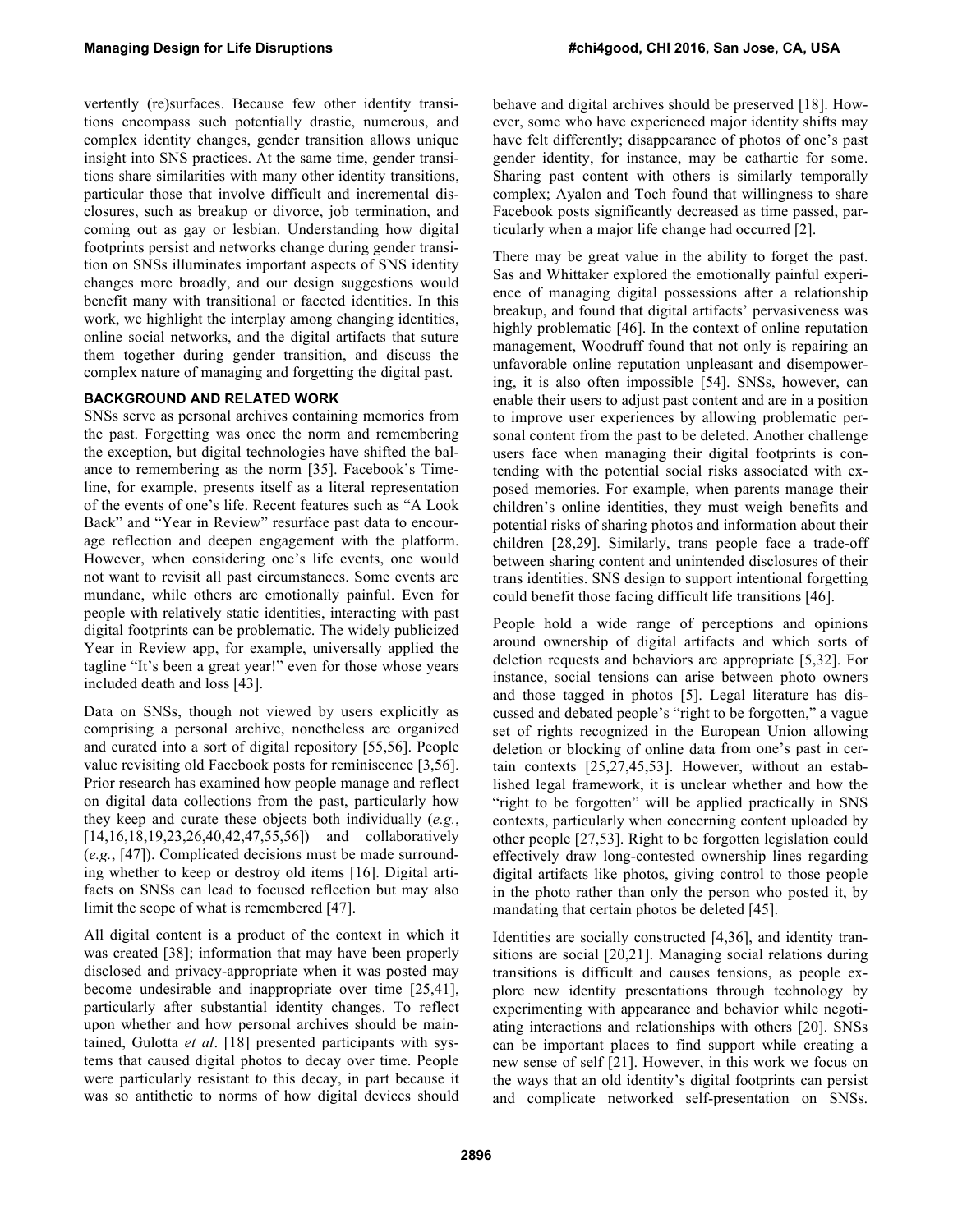vertently (re)surfaces. Because few other identity transitions encompass such potentially drastic, numerous, and complex identity changes, gender transition allows unique insight into SNS practices. At the same time, gender transitions share similarities with many other identity transitions, particular those that involve difficult and incremental disclosures, such as breakup or divorce, job termination, and coming out as gay or lesbian. Understanding how digital footprints persist and networks change during gender transition on SNSs illuminates important aspects of SNS identity changes more broadly, and our design suggestions would benefit many with transitional or faceted identities. In this work, we highlight the interplay among changing identities, online social networks, and the digital artifacts that suture them together during gender transition, and discuss the complex nature of managing and forgetting the digital past.

#### **BACKGROUND AND RELATED WORK**

SNSs serve as personal archives containing memories from the past. Forgetting was once the norm and remembering the exception, but digital technologies have shifted the balance to remembering as the norm [35]. Facebook's Timeline, for example, presents itself as a literal representation of the events of one's life. Recent features such as "A Look Back" and "Year in Review" resurface past data to encourage reflection and deepen engagement with the platform. However, when considering one's life events, one would not want to revisit all past circumstances. Some events are mundane, while others are emotionally painful. Even for people with relatively static identities, interacting with past digital footprints can be problematic. The widely publicized Year in Review app, for example, universally applied the tagline "It's been a great year!" even for those whose years included death and loss [43].

Data on SNSs, though not viewed by users explicitly as comprising a personal archive, nonetheless are organized and curated into a sort of digital repository [55,56]. People value revisiting old Facebook posts for reminiscence [3,56]. Prior research has examined how people manage and reflect on digital data collections from the past, particularly how they keep and curate these objects both individually (*e.g.*, [14,16,18,19,23,26,40,42,47,55,56]) and collaboratively (*e.g.*, [47]). Complicated decisions must be made surrounding whether to keep or destroy old items [16]. Digital artifacts on SNSs can lead to focused reflection but may also limit the scope of what is remembered [47].

All digital content is a product of the context in which it was created [38]; information that may have been properly disclosed and privacy-appropriate when it was posted may become undesirable and inappropriate over time [25,41], particularly after substantial identity changes. To reflect upon whether and how personal archives should be maintained, Gulotta *et al*. [18] presented participants with systems that caused digital photos to decay over time. People were particularly resistant to this decay, in part because it was so antithetic to norms of how digital devices should behave and digital archives should be preserved [18]. However, some who have experienced major identity shifts may have felt differently; disappearance of photos of one's past gender identity, for instance, may be cathartic for some. Sharing past content with others is similarly temporally complex; Ayalon and Toch found that willingness to share Facebook posts significantly decreased as time passed, particularly when a major life change had occurred [2].

There may be great value in the ability to forget the past. Sas and Whittaker explored the emotionally painful experience of managing digital possessions after a relationship breakup, and found that digital artifacts' pervasiveness was highly problematic [46]. In the context of online reputation management, Woodruff found that not only is repairing an unfavorable online reputation unpleasant and disempowering, it is also often impossible [54]. SNSs, however, can enable their users to adjust past content and are in a position to improve user experiences by allowing problematic personal content from the past to be deleted. Another challenge users face when managing their digital footprints is contending with the potential social risks associated with exposed memories. For example, when parents manage their children's online identities, they must weigh benefits and potential risks of sharing photos and information about their children [28,29]. Similarly, trans people face a trade-off between sharing content and unintended disclosures of their trans identities. SNS design to support intentional forgetting could benefit those facing difficult life transitions [46].

People hold a wide range of perceptions and opinions around ownership of digital artifacts and which sorts of deletion requests and behaviors are appropriate [5,32]. For instance, social tensions can arise between photo owners and those tagged in photos [5]. Legal literature has discussed and debated people's "right to be forgotten," a vague set of rights recognized in the European Union allowing deletion or blocking of online data from one's past in certain contexts [25,27,45,53]. However, without an established legal framework, it is unclear whether and how the "right to be forgotten" will be applied practically in SNS contexts, particularly when concerning content uploaded by other people [27,53]. Right to be forgotten legislation could effectively draw long-contested ownership lines regarding digital artifacts like photos, giving control to those people in the photo rather than only the person who posted it, by mandating that certain photos be deleted [45].

Identities are socially constructed [4,36], and identity transitions are social [20,21]. Managing social relations during transitions is difficult and causes tensions, as people explore new identity presentations through technology by experimenting with appearance and behavior while negotiating interactions and relationships with others [20]. SNSs can be important places to find support while creating a new sense of self [21]. However, in this work we focus on the ways that an old identity's digital footprints can persist and complicate networked self-presentation on SNSs.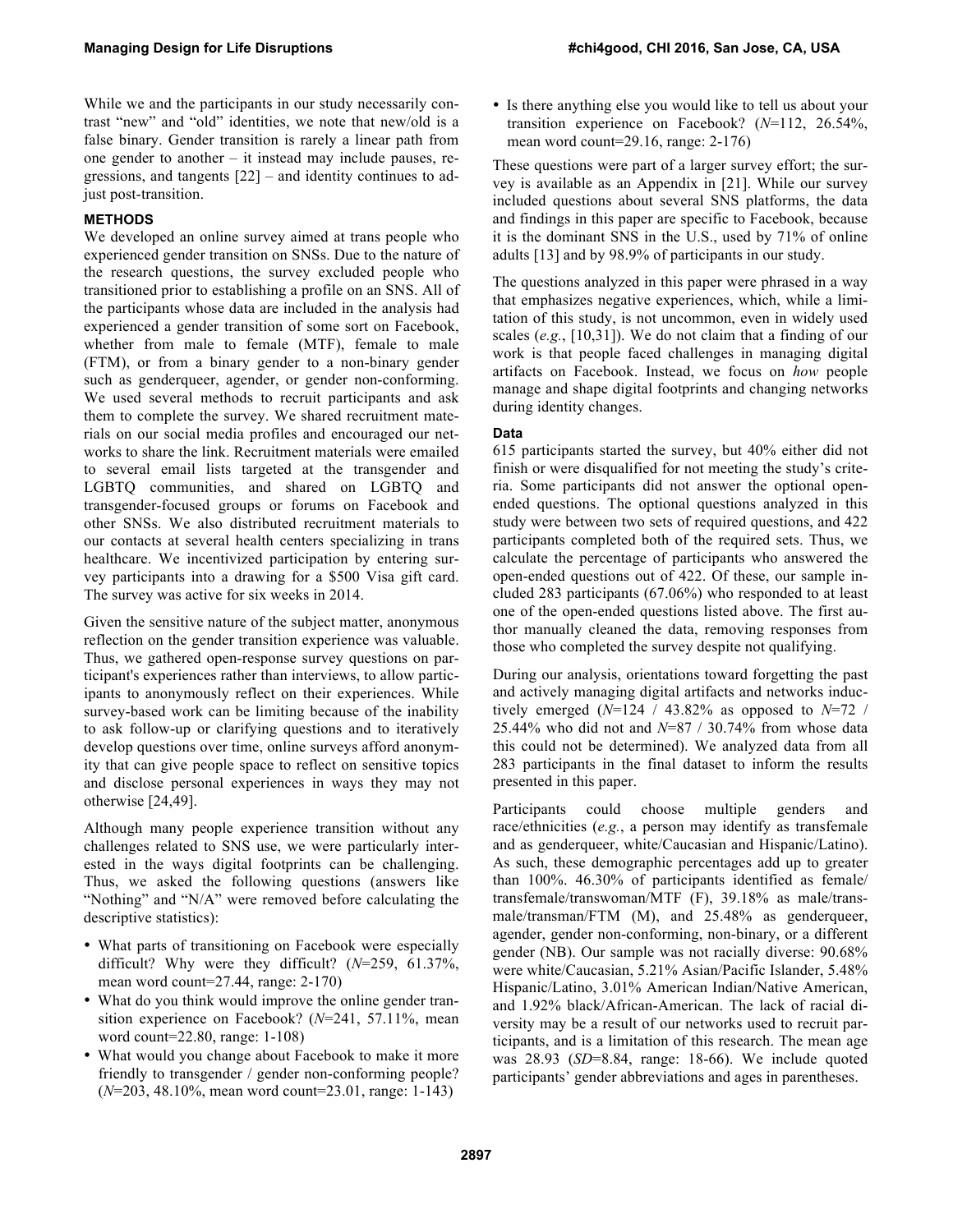While we and the participants in our study necessarily contrast "new" and "old" identities, we note that new/old is a false binary. Gender transition is rarely a linear path from one gender to another – it instead may include pauses, regressions, and tangents [22] – and identity continues to adjust post-transition.

## **METHODS**

We developed an online survey aimed at trans people who experienced gender transition on SNSs. Due to the nature of the research questions, the survey excluded people who transitioned prior to establishing a profile on an SNS. All of the participants whose data are included in the analysis had experienced a gender transition of some sort on Facebook, whether from male to female (MTF), female to male (FTM), or from a binary gender to a non-binary gender such as genderqueer, agender, or gender non-conforming. We used several methods to recruit participants and ask them to complete the survey. We shared recruitment materials on our social media profiles and encouraged our networks to share the link. Recruitment materials were emailed to several email lists targeted at the transgender and LGBTQ communities, and shared on LGBTQ and transgender-focused groups or forums on Facebook and other SNSs. We also distributed recruitment materials to our contacts at several health centers specializing in trans healthcare. We incentivized participation by entering survey participants into a drawing for a \$500 Visa gift card. The survey was active for six weeks in 2014.

Given the sensitive nature of the subject matter, anonymous reflection on the gender transition experience was valuable. Thus, we gathered open-response survey questions on participant's experiences rather than interviews, to allow participants to anonymously reflect on their experiences. While survey-based work can be limiting because of the inability to ask follow-up or clarifying questions and to iteratively develop questions over time, online surveys afford anonymity that can give people space to reflect on sensitive topics and disclose personal experiences in ways they may not otherwise [24,49].

Although many people experience transition without any challenges related to SNS use, we were particularly interested in the ways digital footprints can be challenging. Thus, we asked the following questions (answers like "Nothing" and "N/A" were removed before calculating the descriptive statistics):

- What parts of transitioning on Facebook were especially difficult? Why were they difficult? (*N*=259, 61.37%, mean word count=27.44, range: 2-170)
- What do you think would improve the online gender transition experience on Facebook? (*N*=241, 57.11%, mean word count=22.80, range: 1-108)
- What would you change about Facebook to make it more friendly to transgender / gender non-conforming people? (*N*=203, 48.10%, mean word count=23.01, range: 1-143)

• Is there anything else you would like to tell us about your transition experience on Facebook? (*N*=112, 26.54%, mean word count=29.16, range: 2-176)

These questions were part of a larger survey effort; the survey is available as an Appendix in [21]. While our survey included questions about several SNS platforms, the data and findings in this paper are specific to Facebook, because it is the dominant SNS in the U.S., used by 71% of online adults [13] and by 98.9% of participants in our study.

The questions analyzed in this paper were phrased in a way that emphasizes negative experiences, which, while a limitation of this study, is not uncommon, even in widely used scales (*e.g.*, [10,31]). We do not claim that a finding of our work is that people faced challenges in managing digital artifacts on Facebook. Instead, we focus on *how* people manage and shape digital footprints and changing networks during identity changes.

## **Data**

615 participants started the survey, but 40% either did not finish or were disqualified for not meeting the study's criteria. Some participants did not answer the optional openended questions. The optional questions analyzed in this study were between two sets of required questions, and 422 participants completed both of the required sets. Thus, we calculate the percentage of participants who answered the open-ended questions out of 422. Of these, our sample included 283 participants (67.06%) who responded to at least one of the open-ended questions listed above. The first author manually cleaned the data, removing responses from those who completed the survey despite not qualifying.

During our analysis, orientations toward forgetting the past and actively managing digital artifacts and networks inductively emerged  $(N=124 / 43.82\%$  as opposed to  $N=72 / 43.82\%$ 25.44% who did not and *N*=87 / 30.74% from whose data this could not be determined). We analyzed data from all 283 participants in the final dataset to inform the results presented in this paper.

Participants could choose multiple genders and race/ethnicities (*e.g.*, a person may identify as transfemale and as genderqueer, white/Caucasian and Hispanic/Latino). As such, these demographic percentages add up to greater than 100%. 46.30% of participants identified as female/ transfemale/transwoman/MTF (F), 39.18% as male/transmale/transman/FTM (M), and 25.48% as genderqueer, agender, gender non-conforming, non-binary, or a different gender (NB). Our sample was not racially diverse: 90.68% were white/Caucasian, 5.21% Asian/Pacific Islander, 5.48% Hispanic/Latino, 3.01% American Indian/Native American, and 1.92% black/African-American. The lack of racial diversity may be a result of our networks used to recruit participants, and is a limitation of this research. The mean age was 28.93 (*SD*=8.84, range: 18-66). We include quoted participants' gender abbreviations and ages in parentheses.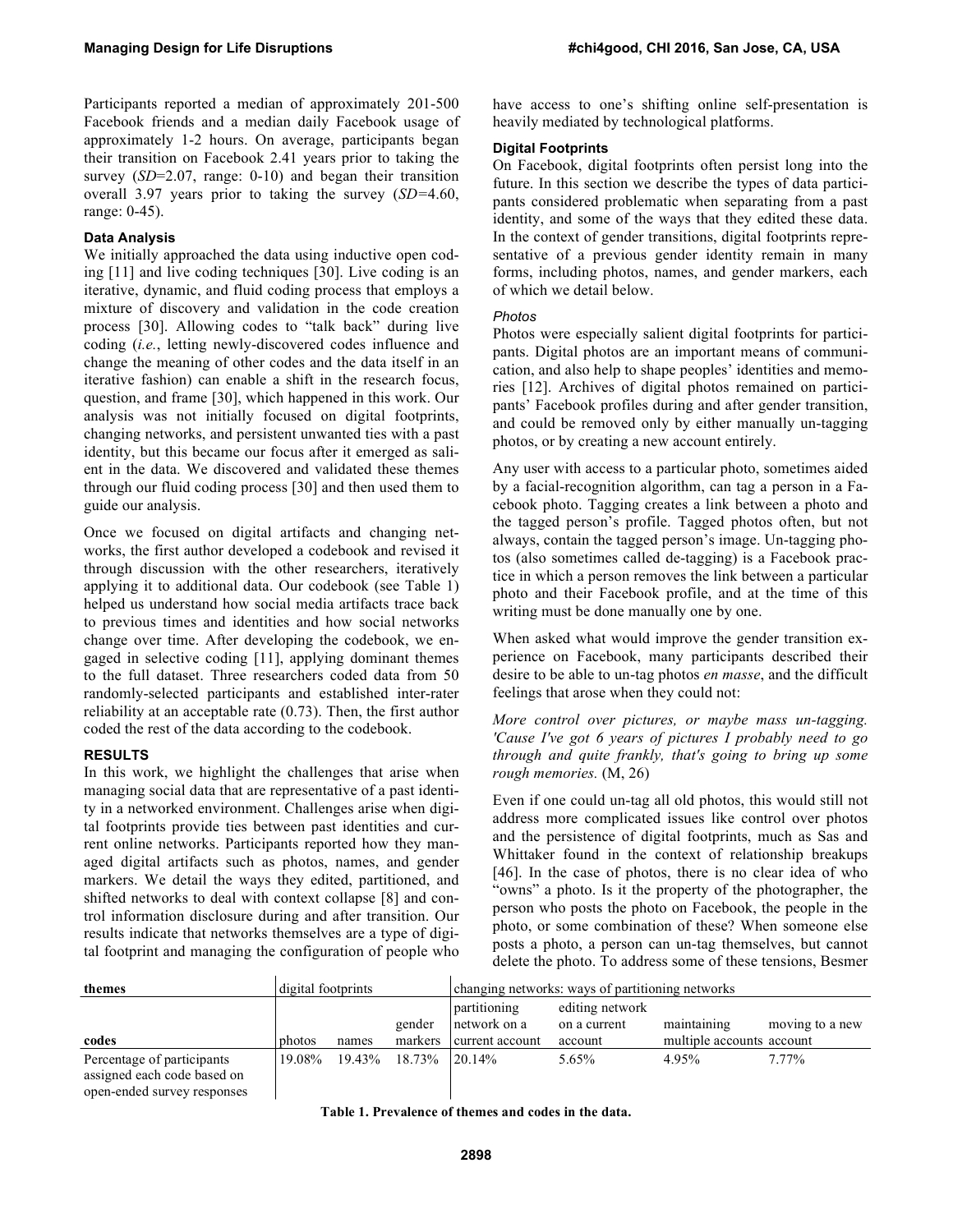Participants reported a median of approximately 201-500 Facebook friends and a median daily Facebook usage of approximately 1-2 hours. On average, participants began their transition on Facebook 2.41 years prior to taking the survey (*SD*=2.07, range: 0-10) and began their transition overall 3.97 years prior to taking the survey (*SD=*4.60, range: 0-45).

# **Data Analysis**

We initially approached the data using inductive open coding [11] and live coding techniques [30]. Live coding is an iterative, dynamic, and fluid coding process that employs a mixture of discovery and validation in the code creation process [30]. Allowing codes to "talk back" during live coding (*i.e.*, letting newly-discovered codes influence and change the meaning of other codes and the data itself in an iterative fashion) can enable a shift in the research focus, question, and frame [30], which happened in this work. Our analysis was not initially focused on digital footprints, changing networks, and persistent unwanted ties with a past identity, but this became our focus after it emerged as salient in the data. We discovered and validated these themes through our fluid coding process [30] and then used them to guide our analysis.

Once we focused on digital artifacts and changing networks, the first author developed a codebook and revised it through discussion with the other researchers, iteratively applying it to additional data. Our codebook (see Table 1) helped us understand how social media artifacts trace back to previous times and identities and how social networks change over time. After developing the codebook, we engaged in selective coding [11], applying dominant themes to the full dataset. Three researchers coded data from 50 randomly-selected participants and established inter-rater reliability at an acceptable rate (0.73). Then, the first author coded the rest of the data according to the codebook.

# **RESULTS**

In this work, we highlight the challenges that arise when managing social data that are representative of a past identity in a networked environment. Challenges arise when digital footprints provide ties between past identities and current online networks. Participants reported how they managed digital artifacts such as photos, names, and gender markers. We detail the ways they edited, partitioned, and shifted networks to deal with context collapse [8] and control information disclosure during and after transition. Our results indicate that networks themselves are a type of digital footprint and managing the configuration of people who have access to one's shifting online self-presentation is heavily mediated by technological platforms.

# **Digital Footprints**

On Facebook, digital footprints often persist long into the future. In this section we describe the types of data participants considered problematic when separating from a past identity, and some of the ways that they edited these data. In the context of gender transitions, digital footprints representative of a previous gender identity remain in many forms, including photos, names, and gender markers, each of which we detail below.

## *Photos*

Photos were especially salient digital footprints for participants. Digital photos are an important means of communication, and also help to shape peoples' identities and memories [12]. Archives of digital photos remained on participants' Facebook profiles during and after gender transition, and could be removed only by either manually un-tagging photos, or by creating a new account entirely.

Any user with access to a particular photo, sometimes aided by a facial-recognition algorithm, can tag a person in a Facebook photo. Tagging creates a link between a photo and the tagged person's profile. Tagged photos often, but not always, contain the tagged person's image. Un-tagging photos (also sometimes called de-tagging) is a Facebook practice in which a person removes the link between a particular photo and their Facebook profile, and at the time of this writing must be done manually one by one.

When asked what would improve the gender transition experience on Facebook, many participants described their desire to be able to un-tag photos *en masse*, and the difficult feelings that arose when they could not:

## *More control over pictures, or maybe mass un-tagging. 'Cause I've got 6 years of pictures I probably need to go through and quite frankly, that's going to bring up some rough memories.* (M, 26)

Even if one could un-tag all old photos, this would still not address more complicated issues like control over photos and the persistence of digital footprints, much as Sas and Whittaker found in the context of relationship breakups [46]. In the case of photos, there is no clear idea of who "owns" a photo. Is it the property of the photographer, the person who posts the photo on Facebook, the people in the photo, or some combination of these? When someone else posts a photo, a person can un-tag themselves, but cannot delete the photo. To address some of these tensions, Besmer

| themes                                                                                   | digital footprints |        |                   | changing networks: ways of partitioning networks |                                            |                                          |                 |
|------------------------------------------------------------------------------------------|--------------------|--------|-------------------|--------------------------------------------------|--------------------------------------------|------------------------------------------|-----------------|
| codes                                                                                    | photos             | names  | gender<br>markers | partitioning<br>network on a<br>current account  | editing network<br>on a current<br>account | maintaining<br>multiple accounts account | moving to a new |
| Percentage of participants<br>assigned each code based on<br>open-ended survey responses | 19.08%             | 19.43% | 18.73%            | $ 20.14\%$                                       | 5.65%                                      | 4.95%                                    | 7.77%           |

**Table 1. Prevalence of themes and codes in the data.**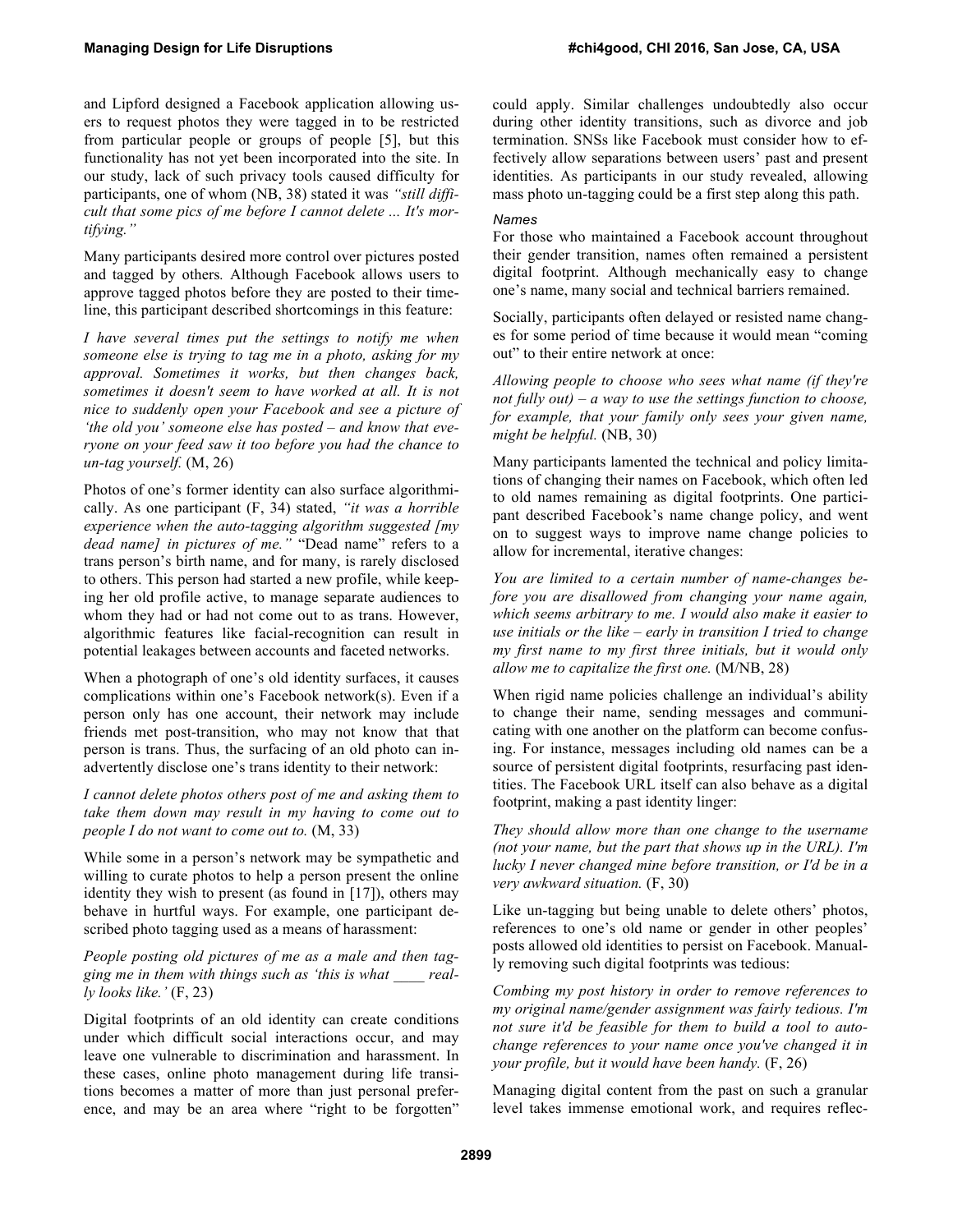and Lipford designed a Facebook application allowing users to request photos they were tagged in to be restricted from particular people or groups of people [5], but this functionality has not yet been incorporated into the site. In our study, lack of such privacy tools caused difficulty for participants, one of whom (NB, 38) stated it was *"still difficult that some pics of me before I cannot delete ... It's mortifying."*

Many participants desired more control over pictures posted and tagged by others*.* Although Facebook allows users to approve tagged photos before they are posted to their timeline, this participant described shortcomings in this feature:

*I have several times put the settings to notify me when someone else is trying to tag me in a photo, asking for my approval. Sometimes it works, but then changes back, sometimes it doesn't seem to have worked at all. It is not nice to suddenly open your Facebook and see a picture of 'the old you' someone else has posted – and know that everyone on your feed saw it too before you had the chance to un-tag yourself.* (M, 26)

Photos of one's former identity can also surface algorithmically. As one participant (F, 34) stated, *"it was a horrible experience when the auto-tagging algorithm suggested [my dead name] in pictures of me."* "Dead name" refers to a trans person's birth name, and for many, is rarely disclosed to others. This person had started a new profile, while keeping her old profile active, to manage separate audiences to whom they had or had not come out to as trans. However, algorithmic features like facial-recognition can result in potential leakages between accounts and faceted networks.

When a photograph of one's old identity surfaces, it causes complications within one's Facebook network(s). Even if a person only has one account, their network may include friends met post-transition, who may not know that that person is trans. Thus, the surfacing of an old photo can inadvertently disclose one's trans identity to their network:

*I cannot delete photos others post of me and asking them to take them down may result in my having to come out to people I do not want to come out to.* (M, 33)

While some in a person's network may be sympathetic and willing to curate photos to help a person present the online identity they wish to present (as found in [17]), others may behave in hurtful ways. For example, one participant described photo tagging used as a means of harassment:

*People posting old pictures of me as a male and then tagging me in them with things such as 'this is what \_\_\_\_ really looks like.'* (F, 23)

Digital footprints of an old identity can create conditions under which difficult social interactions occur, and may leave one vulnerable to discrimination and harassment. In these cases, online photo management during life transitions becomes a matter of more than just personal preference, and may be an area where "right to be forgotten"

could apply. Similar challenges undoubtedly also occur during other identity transitions, such as divorce and job termination. SNSs like Facebook must consider how to effectively allow separations between users' past and present identities. As participants in our study revealed, allowing mass photo un-tagging could be a first step along this path.

#### *Names*

For those who maintained a Facebook account throughout their gender transition, names often remained a persistent digital footprint. Although mechanically easy to change one's name, many social and technical barriers remained.

Socially, participants often delayed or resisted name changes for some period of time because it would mean "coming out" to their entire network at once:

*Allowing people to choose who sees what name (if they're not fully out) – a way to use the settings function to choose, for example, that your family only sees your given name, might be helpful.* (NB, 30)

Many participants lamented the technical and policy limitations of changing their names on Facebook, which often led to old names remaining as digital footprints. One participant described Facebook's name change policy, and went on to suggest ways to improve name change policies to allow for incremental, iterative changes:

*You are limited to a certain number of name-changes before you are disallowed from changing your name again, which seems arbitrary to me. I would also make it easier to use initials or the like – early in transition I tried to change my first name to my first three initials, but it would only allow me to capitalize the first one.* (M/NB, 28)

When rigid name policies challenge an individual's ability to change their name, sending messages and communicating with one another on the platform can become confusing. For instance, messages including old names can be a source of persistent digital footprints, resurfacing past identities. The Facebook URL itself can also behave as a digital footprint, making a past identity linger:

*They should allow more than one change to the username (not your name, but the part that shows up in the URL). I'm lucky I never changed mine before transition, or I'd be in a very awkward situation.* (F, 30)

Like un-tagging but being unable to delete others' photos, references to one's old name or gender in other peoples' posts allowed old identities to persist on Facebook. Manually removing such digital footprints was tedious:

*Combing my post history in order to remove references to my original name/gender assignment was fairly tedious. I'm not sure it'd be feasible for them to build a tool to autochange references to your name once you've changed it in your profile, but it would have been handy.* (F, 26)

Managing digital content from the past on such a granular level takes immense emotional work, and requires reflec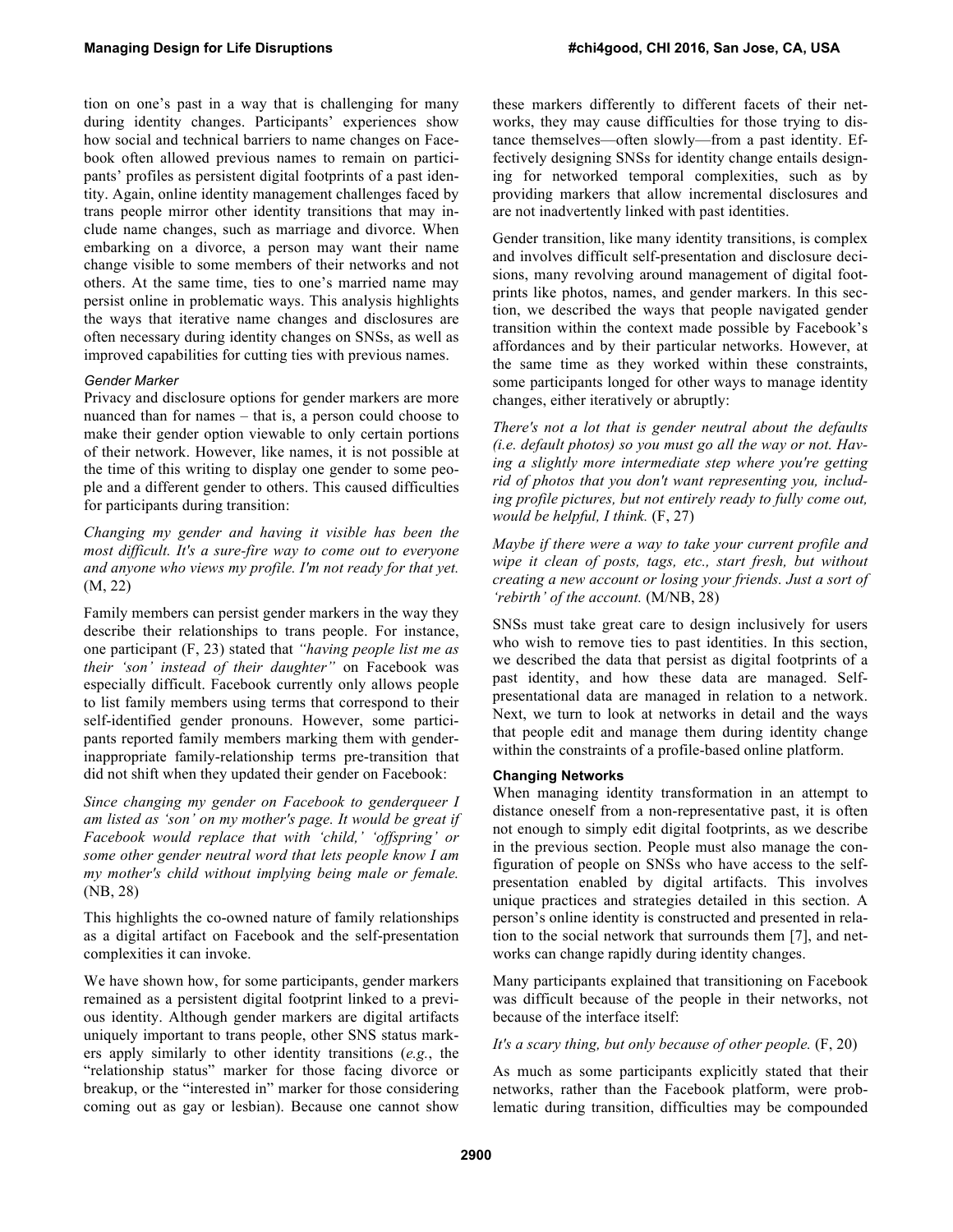tion on one's past in a way that is challenging for many during identity changes. Participants' experiences show how social and technical barriers to name changes on Facebook often allowed previous names to remain on participants' profiles as persistent digital footprints of a past identity. Again, online identity management challenges faced by trans people mirror other identity transitions that may include name changes, such as marriage and divorce. When embarking on a divorce, a person may want their name change visible to some members of their networks and not others. At the same time, ties to one's married name may persist online in problematic ways. This analysis highlights the ways that iterative name changes and disclosures are often necessary during identity changes on SNSs, as well as improved capabilities for cutting ties with previous names.

#### *Gender Marker*

Privacy and disclosure options for gender markers are more nuanced than for names – that is, a person could choose to make their gender option viewable to only certain portions of their network. However, like names, it is not possible at the time of this writing to display one gender to some people and a different gender to others. This caused difficulties for participants during transition:

*Changing my gender and having it visible has been the most difficult. It's a sure-fire way to come out to everyone and anyone who views my profile. I'm not ready for that yet.* (M, 22)

Family members can persist gender markers in the way they describe their relationships to trans people. For instance, one participant (F, 23) stated that *"having people list me as their 'son' instead of their daughter"* on Facebook was especially difficult. Facebook currently only allows people to list family members using terms that correspond to their self-identified gender pronouns. However, some participants reported family members marking them with genderinappropriate family-relationship terms pre-transition that did not shift when they updated their gender on Facebook:

*Since changing my gender on Facebook to genderqueer I am listed as 'son' on my mother's page. It would be great if Facebook would replace that with 'child,' 'offspring' or some other gender neutral word that lets people know I am my mother's child without implying being male or female.* (NB, 28)

This highlights the co-owned nature of family relationships as a digital artifact on Facebook and the self-presentation complexities it can invoke.

We have shown how, for some participants, gender markers remained as a persistent digital footprint linked to a previous identity. Although gender markers are digital artifacts uniquely important to trans people, other SNS status markers apply similarly to other identity transitions (*e.g.*, the "relationship status" marker for those facing divorce or breakup, or the "interested in" marker for those considering coming out as gay or lesbian). Because one cannot show

these markers differently to different facets of their networks, they may cause difficulties for those trying to distance themselves—often slowly—from a past identity. Effectively designing SNSs for identity change entails designing for networked temporal complexities, such as by providing markers that allow incremental disclosures and are not inadvertently linked with past identities.

Gender transition, like many identity transitions, is complex and involves difficult self-presentation and disclosure decisions, many revolving around management of digital footprints like photos, names, and gender markers. In this section, we described the ways that people navigated gender transition within the context made possible by Facebook's affordances and by their particular networks. However, at the same time as they worked within these constraints, some participants longed for other ways to manage identity changes, either iteratively or abruptly:

*There's not a lot that is gender neutral about the defaults (i.e. default photos) so you must go all the way or not. Having a slightly more intermediate step where you're getting rid of photos that you don't want representing you, including profile pictures, but not entirely ready to fully come out, would be helpful, I think.* (F, 27)

*Maybe if there were a way to take your current profile and wipe it clean of posts, tags, etc., start fresh, but without creating a new account or losing your friends. Just a sort of 'rebirth' of the account.* (M/NB, 28)

SNSs must take great care to design inclusively for users who wish to remove ties to past identities. In this section, we described the data that persist as digital footprints of a past identity, and how these data are managed. Selfpresentational data are managed in relation to a network. Next, we turn to look at networks in detail and the ways that people edit and manage them during identity change within the constraints of a profile-based online platform.

#### **Changing Networks**

When managing identity transformation in an attempt to distance oneself from a non-representative past, it is often not enough to simply edit digital footprints, as we describe in the previous section. People must also manage the configuration of people on SNSs who have access to the selfpresentation enabled by digital artifacts. This involves unique practices and strategies detailed in this section. A person's online identity is constructed and presented in relation to the social network that surrounds them [7], and networks can change rapidly during identity changes.

Many participants explained that transitioning on Facebook was difficult because of the people in their networks, not because of the interface itself:

*It's a scary thing, but only because of other people.* (F, 20)

As much as some participants explicitly stated that their networks, rather than the Facebook platform, were problematic during transition, difficulties may be compounded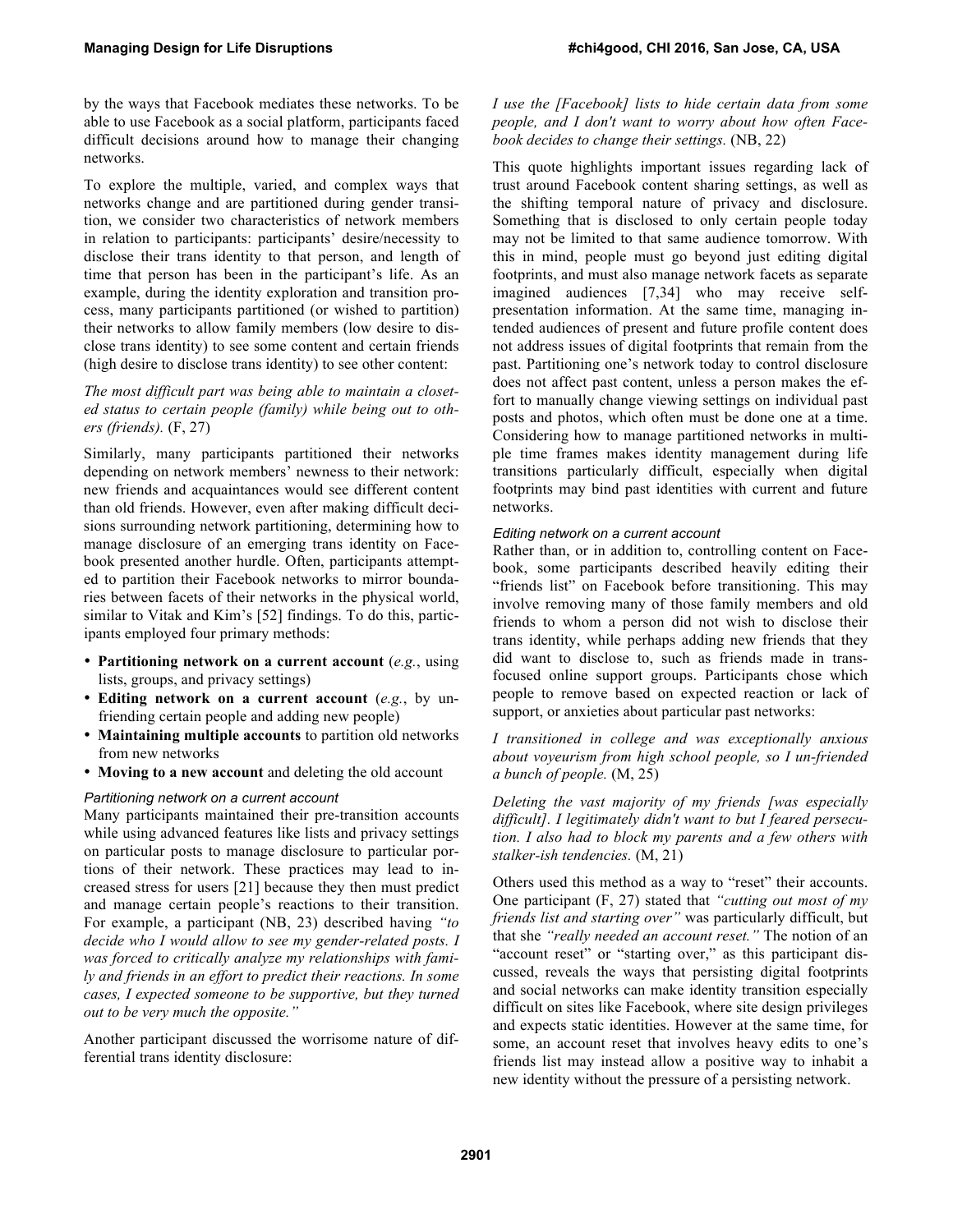by the ways that Facebook mediates these networks. To be able to use Facebook as a social platform, participants faced difficult decisions around how to manage their changing networks.

To explore the multiple, varied, and complex ways that networks change and are partitioned during gender transition, we consider two characteristics of network members in relation to participants: participants' desire/necessity to disclose their trans identity to that person, and length of time that person has been in the participant's life. As an example, during the identity exploration and transition process, many participants partitioned (or wished to partition) their networks to allow family members (low desire to disclose trans identity) to see some content and certain friends (high desire to disclose trans identity) to see other content:

## *The most difficult part was being able to maintain a closeted status to certain people (family) while being out to others (friends).* (F, 27)

Similarly, many participants partitioned their networks depending on network members' newness to their network: new friends and acquaintances would see different content than old friends. However, even after making difficult decisions surrounding network partitioning, determining how to manage disclosure of an emerging trans identity on Facebook presented another hurdle. Often, participants attempted to partition their Facebook networks to mirror boundaries between facets of their networks in the physical world, similar to Vitak and Kim's [52] findings. To do this, participants employed four primary methods:

- **Partitioning network on a current account** (*e.g.*, using lists, groups, and privacy settings)
- **Editing network on a current account** (*e.g.*, by unfriending certain people and adding new people)
- **Maintaining multiple accounts** to partition old networks from new networks
- **Moving to a new account** and deleting the old account

## *Partitioning network on a current account*

Many participants maintained their pre-transition accounts while using advanced features like lists and privacy settings on particular posts to manage disclosure to particular portions of their network. These practices may lead to increased stress for users [21] because they then must predict and manage certain people's reactions to their transition. For example, a participant (NB, 23) described having *"to decide who I would allow to see my gender-related posts. I was forced to critically analyze my relationships with family and friends in an effort to predict their reactions. In some cases, I expected someone to be supportive, but they turned out to be very much the opposite."*

Another participant discussed the worrisome nature of differential trans identity disclosure:

*I use the [Facebook] lists to hide certain data from some people, and I don't want to worry about how often Facebook decides to change their settings.* (NB, 22)

This quote highlights important issues regarding lack of trust around Facebook content sharing settings, as well as the shifting temporal nature of privacy and disclosure. Something that is disclosed to only certain people today may not be limited to that same audience tomorrow. With this in mind, people must go beyond just editing digital footprints, and must also manage network facets as separate imagined audiences [7,34] who may receive selfpresentation information. At the same time, managing intended audiences of present and future profile content does not address issues of digital footprints that remain from the past. Partitioning one's network today to control disclosure does not affect past content, unless a person makes the effort to manually change viewing settings on individual past posts and photos, which often must be done one at a time. Considering how to manage partitioned networks in multiple time frames makes identity management during life transitions particularly difficult, especially when digital footprints may bind past identities with current and future networks.

#### *Editing network on a current account*

Rather than, or in addition to, controlling content on Facebook, some participants described heavily editing their "friends list" on Facebook before transitioning. This may involve removing many of those family members and old friends to whom a person did not wish to disclose their trans identity, while perhaps adding new friends that they did want to disclose to, such as friends made in transfocused online support groups. Participants chose which people to remove based on expected reaction or lack of support, or anxieties about particular past networks:

*I transitioned in college and was exceptionally anxious about voyeurism from high school people, so I un-friended a bunch of people.* (M, 25)

*Deleting the vast majority of my friends [was especially difficult]. I legitimately didn't want to but I feared persecution. I also had to block my parents and a few others with stalker-ish tendencies.* (M, 21)

Others used this method as a way to "reset" their accounts. One participant (F, 27) stated that *"cutting out most of my friends list and starting over"* was particularly difficult, but that she *"really needed an account reset."* The notion of an "account reset" or "starting over," as this participant discussed, reveals the ways that persisting digital footprints and social networks can make identity transition especially difficult on sites like Facebook, where site design privileges and expects static identities. However at the same time, for some, an account reset that involves heavy edits to one's friends list may instead allow a positive way to inhabit a new identity without the pressure of a persisting network.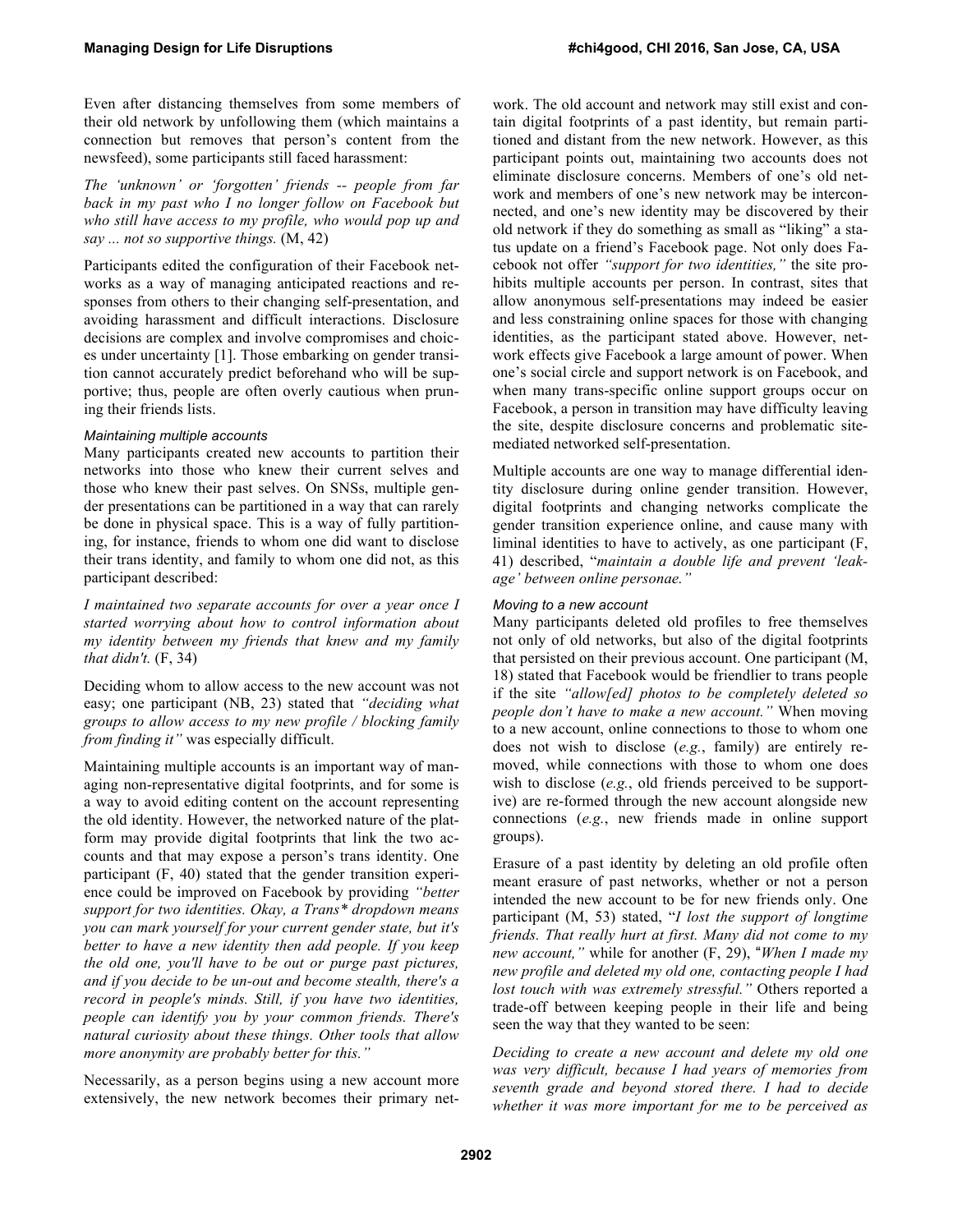Even after distancing themselves from some members of their old network by unfollowing them (which maintains a connection but removes that person's content from the newsfeed), some participants still faced harassment:

*The 'unknown' or 'forgotten' friends -- people from far back in my past who I no longer follow on Facebook but who still have access to my profile, who would pop up and say ... not so supportive things.* (M, 42)

Participants edited the configuration of their Facebook networks as a way of managing anticipated reactions and responses from others to their changing self-presentation, and avoiding harassment and difficult interactions. Disclosure decisions are complex and involve compromises and choices under uncertainty [1]. Those embarking on gender transition cannot accurately predict beforehand who will be supportive; thus, people are often overly cautious when pruning their friends lists.

#### *Maintaining multiple accounts*

Many participants created new accounts to partition their networks into those who knew their current selves and those who knew their past selves. On SNSs, multiple gender presentations can be partitioned in a way that can rarely be done in physical space. This is a way of fully partitioning, for instance, friends to whom one did want to disclose their trans identity, and family to whom one did not, as this participant described:

*I maintained two separate accounts for over a year once I started worrying about how to control information about my identity between my friends that knew and my family that didn't.* (F, 34)

Deciding whom to allow access to the new account was not easy; one participant (NB, 23) stated that *"deciding what groups to allow access to my new profile / blocking family from finding it"* was especially difficult.

Maintaining multiple accounts is an important way of managing non-representative digital footprints, and for some is a way to avoid editing content on the account representing the old identity. However, the networked nature of the platform may provide digital footprints that link the two accounts and that may expose a person's trans identity. One participant (F, 40) stated that the gender transition experience could be improved on Facebook by providing *"better support for two identities. Okay, a Trans\* dropdown means you can mark yourself for your current gender state, but it's better to have a new identity then add people. If you keep the old one, you'll have to be out or purge past pictures, and if you decide to be un-out and become stealth, there's a record in people's minds. Still, if you have two identities, people can identify you by your common friends. There's natural curiosity about these things. Other tools that allow more anonymity are probably better for this."*

Necessarily, as a person begins using a new account more extensively, the new network becomes their primary network. The old account and network may still exist and contain digital footprints of a past identity, but remain partitioned and distant from the new network. However, as this participant points out, maintaining two accounts does not eliminate disclosure concerns. Members of one's old network and members of one's new network may be interconnected, and one's new identity may be discovered by their old network if they do something as small as "liking" a status update on a friend's Facebook page. Not only does Facebook not offer *"support for two identities,"* the site prohibits multiple accounts per person. In contrast, sites that allow anonymous self-presentations may indeed be easier and less constraining online spaces for those with changing identities, as the participant stated above. However, network effects give Facebook a large amount of power. When one's social circle and support network is on Facebook, and when many trans-specific online support groups occur on Facebook, a person in transition may have difficulty leaving the site, despite disclosure concerns and problematic sitemediated networked self-presentation.

Multiple accounts are one way to manage differential identity disclosure during online gender transition. However, digital footprints and changing networks complicate the gender transition experience online, and cause many with liminal identities to have to actively, as one participant (F, 41) described, "*maintain a double life and prevent 'leakage' between online personae."*

#### *Moving to a new account*

Many participants deleted old profiles to free themselves not only of old networks, but also of the digital footprints that persisted on their previous account. One participant (M, 18) stated that Facebook would be friendlier to trans people if the site *"allow[ed] photos to be completely deleted so people don't have to make a new account."* When moving to a new account, online connections to those to whom one does not wish to disclose (*e.g.*, family) are entirely removed, while connections with those to whom one does wish to disclose (*e.g.*, old friends perceived to be supportive) are re-formed through the new account alongside new connections (*e.g.*, new friends made in online support groups).

Erasure of a past identity by deleting an old profile often meant erasure of past networks, whether or not a person intended the new account to be for new friends only. One participant (M, 53) stated, "*I lost the support of longtime friends. That really hurt at first. Many did not come to my new account,"* while for another (F, 29), "*When I made my new profile and deleted my old one, contacting people I had lost touch with was extremely stressful."* Others reported a trade-off between keeping people in their life and being seen the way that they wanted to be seen:

*Deciding to create a new account and delete my old one was very difficult, because I had years of memories from seventh grade and beyond stored there. I had to decide whether it was more important for me to be perceived as*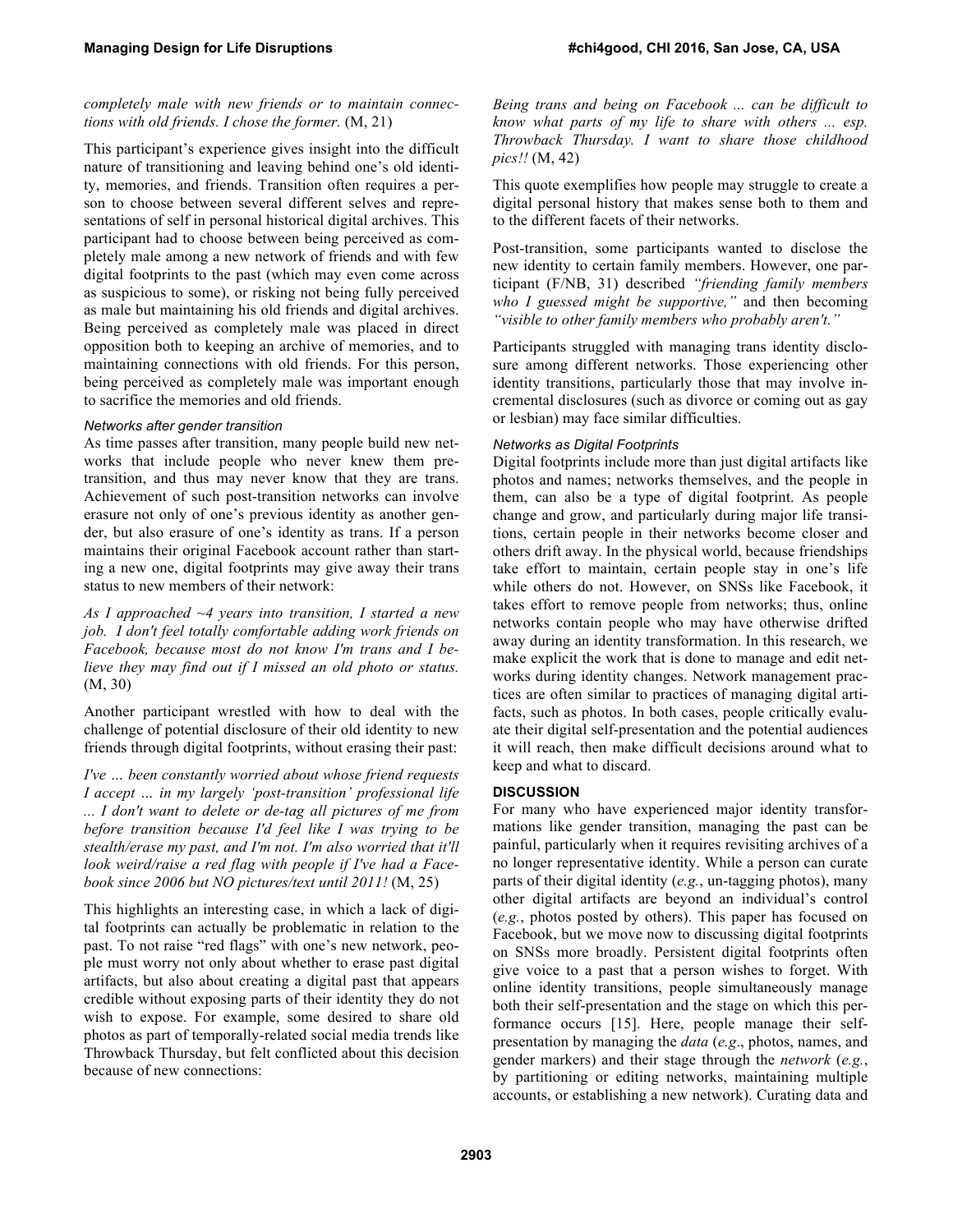## *completely male with new friends or to maintain connections with old friends. I chose the former.* (M, 21)

This participant's experience gives insight into the difficult nature of transitioning and leaving behind one's old identity, memories, and friends. Transition often requires a person to choose between several different selves and representations of self in personal historical digital archives. This participant had to choose between being perceived as completely male among a new network of friends and with few digital footprints to the past (which may even come across as suspicious to some), or risking not being fully perceived as male but maintaining his old friends and digital archives. Being perceived as completely male was placed in direct opposition both to keeping an archive of memories, and to maintaining connections with old friends. For this person, being perceived as completely male was important enough to sacrifice the memories and old friends.

## *Networks after gender transition*

As time passes after transition, many people build new networks that include people who never knew them pretransition, and thus may never know that they are trans. Achievement of such post-transition networks can involve erasure not only of one's previous identity as another gender, but also erasure of one's identity as trans. If a person maintains their original Facebook account rather than starting a new one, digital footprints may give away their trans status to new members of their network:

*As I approached ~4 years into transition, I started a new job. I don't feel totally comfortable adding work friends on Facebook, because most do not know I'm trans and I believe they may find out if I missed an old photo or status.* (M, 30)

Another participant wrestled with how to deal with the challenge of potential disclosure of their old identity to new friends through digital footprints, without erasing their past:

*I've … been constantly worried about whose friend requests I accept … in my largely 'post-transition' professional life ... I don't want to delete or de-tag all pictures of me from before transition because I'd feel like I was trying to be stealth/erase my past, and I'm not. I'm also worried that it'll look weird/raise a red flag with people if I've had a Facebook since 2006 but NO pictures/text until 2011!* (M, 25)

This highlights an interesting case, in which a lack of digital footprints can actually be problematic in relation to the past. To not raise "red flags" with one's new network, people must worry not only about whether to erase past digital artifacts, but also about creating a digital past that appears credible without exposing parts of their identity they do not wish to expose. For example, some desired to share old photos as part of temporally-related social media trends like Throwback Thursday, but felt conflicted about this decision because of new connections:

*Being trans and being on Facebook ... can be difficult to know what parts of my life to share with others ... esp. Throwback Thursday. I want to share those childhood pics!!* (M, 42)

This quote exemplifies how people may struggle to create a digital personal history that makes sense both to them and to the different facets of their networks.

Post-transition, some participants wanted to disclose the new identity to certain family members. However, one participant (F/NB, 31) described *"friending family members who I guessed might be supportive,"* and then becoming *"visible to other family members who probably aren't."*

Participants struggled with managing trans identity disclosure among different networks. Those experiencing other identity transitions, particularly those that may involve incremental disclosures (such as divorce or coming out as gay or lesbian) may face similar difficulties.

## *Networks as Digital Footprints*

Digital footprints include more than just digital artifacts like photos and names; networks themselves, and the people in them, can also be a type of digital footprint. As people change and grow, and particularly during major life transitions, certain people in their networks become closer and others drift away. In the physical world, because friendships take effort to maintain, certain people stay in one's life while others do not. However, on SNSs like Facebook, it takes effort to remove people from networks; thus, online networks contain people who may have otherwise drifted away during an identity transformation. In this research, we make explicit the work that is done to manage and edit networks during identity changes. Network management practices are often similar to practices of managing digital artifacts, such as photos. In both cases, people critically evaluate their digital self-presentation and the potential audiences it will reach, then make difficult decisions around what to keep and what to discard.

# **DISCUSSION**

For many who have experienced major identity transformations like gender transition, managing the past can be painful, particularly when it requires revisiting archives of a no longer representative identity. While a person can curate parts of their digital identity (*e.g.*, un-tagging photos), many other digital artifacts are beyond an individual's control (*e.g.*, photos posted by others). This paper has focused on Facebook, but we move now to discussing digital footprints on SNSs more broadly. Persistent digital footprints often give voice to a past that a person wishes to forget. With online identity transitions, people simultaneously manage both their self-presentation and the stage on which this performance occurs [15]. Here, people manage their selfpresentation by managing the *data* (*e.g*., photos, names, and gender markers) and their stage through the *network* (*e.g.*, by partitioning or editing networks, maintaining multiple accounts, or establishing a new network). Curating data and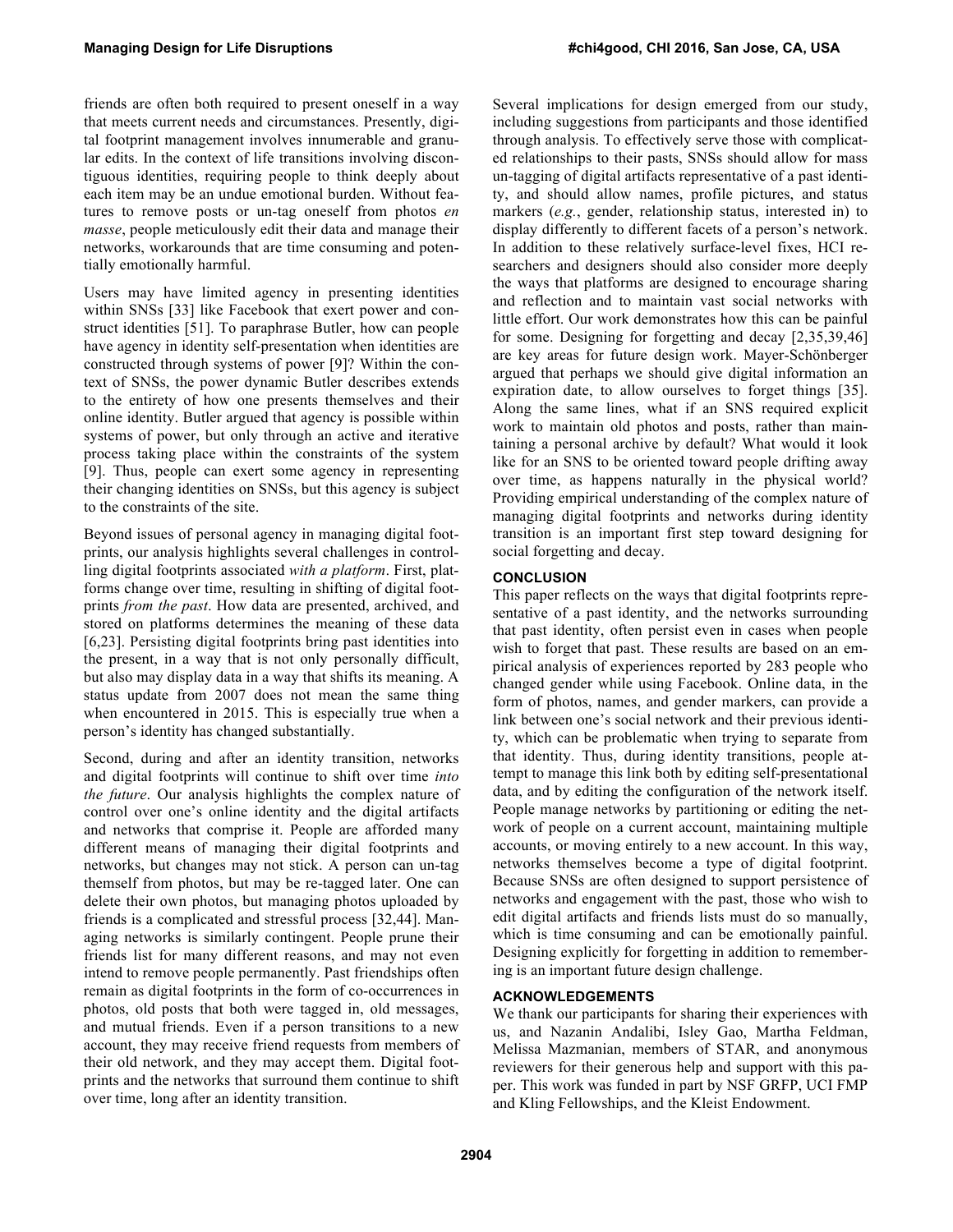friends are often both required to present oneself in a way that meets current needs and circumstances. Presently, digital footprint management involves innumerable and granular edits. In the context of life transitions involving discontiguous identities, requiring people to think deeply about each item may be an undue emotional burden. Without features to remove posts or un-tag oneself from photos *en masse*, people meticulously edit their data and manage their networks, workarounds that are time consuming and potentially emotionally harmful.

Users may have limited agency in presenting identities within SNSs [33] like Facebook that exert power and construct identities [51]. To paraphrase Butler, how can people have agency in identity self-presentation when identities are constructed through systems of power [9]? Within the context of SNSs, the power dynamic Butler describes extends to the entirety of how one presents themselves and their online identity. Butler argued that agency is possible within systems of power, but only through an active and iterative process taking place within the constraints of the system [9]. Thus, people can exert some agency in representing their changing identities on SNSs, but this agency is subject to the constraints of the site.

Beyond issues of personal agency in managing digital footprints, our analysis highlights several challenges in controlling digital footprints associated *with a platform*. First, platforms change over time, resulting in shifting of digital footprints *from the past*. How data are presented, archived, and stored on platforms determines the meaning of these data [6,23]. Persisting digital footprints bring past identities into the present, in a way that is not only personally difficult, but also may display data in a way that shifts its meaning. A status update from 2007 does not mean the same thing when encountered in 2015. This is especially true when a person's identity has changed substantially.

Second, during and after an identity transition, networks and digital footprints will continue to shift over time *into the future*. Our analysis highlights the complex nature of control over one's online identity and the digital artifacts and networks that comprise it. People are afforded many different means of managing their digital footprints and networks, but changes may not stick. A person can un-tag themself from photos, but may be re-tagged later. One can delete their own photos, but managing photos uploaded by friends is a complicated and stressful process [32,44]. Managing networks is similarly contingent. People prune their friends list for many different reasons, and may not even intend to remove people permanently. Past friendships often remain as digital footprints in the form of co-occurrences in photos, old posts that both were tagged in, old messages, and mutual friends. Even if a person transitions to a new account, they may receive friend requests from members of their old network, and they may accept them. Digital footprints and the networks that surround them continue to shift over time, long after an identity transition.

Several implications for design emerged from our study, including suggestions from participants and those identified through analysis. To effectively serve those with complicated relationships to their pasts, SNSs should allow for mass un-tagging of digital artifacts representative of a past identity, and should allow names, profile pictures, and status markers (*e.g.*, gender, relationship status, interested in) to display differently to different facets of a person's network. In addition to these relatively surface-level fixes, HCI researchers and designers should also consider more deeply the ways that platforms are designed to encourage sharing and reflection and to maintain vast social networks with little effort. Our work demonstrates how this can be painful for some. Designing for forgetting and decay [2,35,39,46] are key areas for future design work. Mayer-Schönberger argued that perhaps we should give digital information an expiration date, to allow ourselves to forget things [35]. Along the same lines, what if an SNS required explicit work to maintain old photos and posts, rather than maintaining a personal archive by default? What would it look like for an SNS to be oriented toward people drifting away over time, as happens naturally in the physical world? Providing empirical understanding of the complex nature of managing digital footprints and networks during identity transition is an important first step toward designing for social forgetting and decay.

# **CONCLUSION**

This paper reflects on the ways that digital footprints representative of a past identity, and the networks surrounding that past identity, often persist even in cases when people wish to forget that past. These results are based on an empirical analysis of experiences reported by 283 people who changed gender while using Facebook. Online data, in the form of photos, names, and gender markers, can provide a link between one's social network and their previous identity, which can be problematic when trying to separate from that identity. Thus, during identity transitions, people attempt to manage this link both by editing self-presentational data, and by editing the configuration of the network itself. People manage networks by partitioning or editing the network of people on a current account, maintaining multiple accounts, or moving entirely to a new account. In this way, networks themselves become a type of digital footprint. Because SNSs are often designed to support persistence of networks and engagement with the past, those who wish to edit digital artifacts and friends lists must do so manually, which is time consuming and can be emotionally painful. Designing explicitly for forgetting in addition to remembering is an important future design challenge.

## **ACKNOWLEDGEMENTS**

We thank our participants for sharing their experiences with us, and Nazanin Andalibi, Isley Gao, Martha Feldman, Melissa Mazmanian, members of STAR, and anonymous reviewers for their generous help and support with this paper. This work was funded in part by NSF GRFP, UCI FMP and Kling Fellowships, and the Kleist Endowment.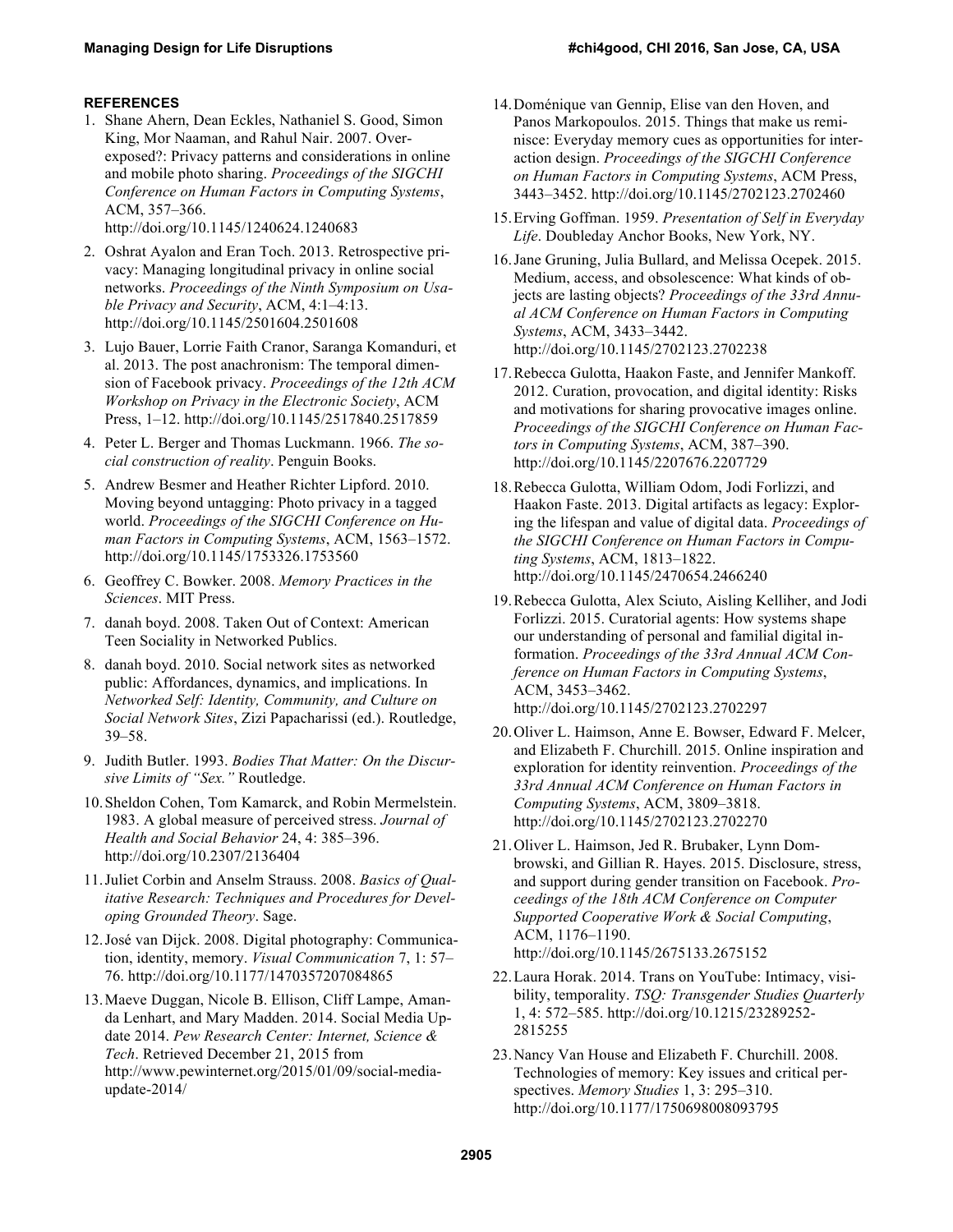# **REFERENCES**

1. Shane Ahern, Dean Eckles, Nathaniel S. Good, Simon King, Mor Naaman, and Rahul Nair. 2007. Overexposed?: Privacy patterns and considerations in online and mobile photo sharing. *Proceedings of the SIGCHI Conference on Human Factors in Computing Systems*, ACM, 357–366.

http://doi.org/10.1145/1240624.1240683

- 2. Oshrat Ayalon and Eran Toch. 2013. Retrospective privacy: Managing longitudinal privacy in online social networks. *Proceedings of the Ninth Symposium on Usable Privacy and Security*, ACM, 4:1–4:13. http://doi.org/10.1145/2501604.2501608
- 3. Lujo Bauer, Lorrie Faith Cranor, Saranga Komanduri, et al. 2013. The post anachronism: The temporal dimension of Facebook privacy. *Proceedings of the 12th ACM Workshop on Privacy in the Electronic Society*, ACM Press, 1–12. http://doi.org/10.1145/2517840.2517859
- 4. Peter L. Berger and Thomas Luckmann. 1966. *The social construction of reality*. Penguin Books.
- 5. Andrew Besmer and Heather Richter Lipford. 2010. Moving beyond untagging: Photo privacy in a tagged world. *Proceedings of the SIGCHI Conference on Human Factors in Computing Systems*, ACM, 1563–1572. http://doi.org/10.1145/1753326.1753560
- 6. Geoffrey C. Bowker. 2008. *Memory Practices in the Sciences*. MIT Press.
- 7. danah boyd. 2008. Taken Out of Context: American Teen Sociality in Networked Publics.
- 8. danah boyd. 2010. Social network sites as networked public: Affordances, dynamics, and implications. In *Networked Self: Identity, Community, and Culture on Social Network Sites*, Zizi Papacharissi (ed.). Routledge, 39–58.
- 9. Judith Butler. 1993. *Bodies That Matter: On the Discursive Limits of "Sex."* Routledge.
- 10.Sheldon Cohen, Tom Kamarck, and Robin Mermelstein. 1983. A global measure of perceived stress. *Journal of Health and Social Behavior* 24, 4: 385–396. http://doi.org/10.2307/2136404
- 11.Juliet Corbin and Anselm Strauss. 2008. *Basics of Qualitative Research: Techniques and Procedures for Developing Grounded Theory*. Sage.
- 12.José van Dijck. 2008. Digital photography: Communication, identity, memory. *Visual Communication* 7, 1: 57– 76. http://doi.org/10.1177/1470357207084865
- 13.Maeve Duggan, Nicole B. Ellison, Cliff Lampe, Amanda Lenhart, and Mary Madden. 2014. Social Media Update 2014. *Pew Research Center: Internet, Science & Tech*. Retrieved December 21, 2015 from http://www.pewinternet.org/2015/01/09/social-mediaupdate-2014/
- 14.Doménique van Gennip, Elise van den Hoven, and Panos Markopoulos. 2015. Things that make us reminisce: Everyday memory cues as opportunities for interaction design. *Proceedings of the SIGCHI Conference on Human Factors in Computing Systems*, ACM Press, 3443–3452. http://doi.org/10.1145/2702123.2702460
- 15.Erving Goffman. 1959. *Presentation of Self in Everyday Life*. Doubleday Anchor Books, New York, NY.
- 16.Jane Gruning, Julia Bullard, and Melissa Ocepek. 2015. Medium, access, and obsolescence: What kinds of objects are lasting objects? *Proceedings of the 33rd Annual ACM Conference on Human Factors in Computing Systems*, ACM, 3433–3442. http://doi.org/10.1145/2702123.2702238
- 17.Rebecca Gulotta, Haakon Faste, and Jennifer Mankoff. 2012. Curation, provocation, and digital identity: Risks and motivations for sharing provocative images online. *Proceedings of the SIGCHI Conference on Human Factors in Computing Systems*, ACM, 387–390. http://doi.org/10.1145/2207676.2207729
- 18.Rebecca Gulotta, William Odom, Jodi Forlizzi, and Haakon Faste. 2013. Digital artifacts as legacy: Exploring the lifespan and value of digital data. *Proceedings of the SIGCHI Conference on Human Factors in Computing Systems*, ACM, 1813–1822. http://doi.org/10.1145/2470654.2466240
- 19.Rebecca Gulotta, Alex Sciuto, Aisling Kelliher, and Jodi Forlizzi. 2015. Curatorial agents: How systems shape our understanding of personal and familial digital information. *Proceedings of the 33rd Annual ACM Conference on Human Factors in Computing Systems*, ACM, 3453–3462. http://doi.org/10.1145/2702123.2702297
- 20.Oliver L. Haimson, Anne E. Bowser, Edward F. Melcer, and Elizabeth F. Churchill. 2015. Online inspiration and exploration for identity reinvention. *Proceedings of the 33rd Annual ACM Conference on Human Factors in Computing Systems*, ACM, 3809–3818. http://doi.org/10.1145/2702123.2702270
- 21.Oliver L. Haimson, Jed R. Brubaker, Lynn Dombrowski, and Gillian R. Hayes. 2015. Disclosure, stress, and support during gender transition on Facebook. *Proceedings of the 18th ACM Conference on Computer Supported Cooperative Work & Social Computing*, ACM, 1176–1190. http://doi.org/10.1145/2675133.2675152
- 22.Laura Horak. 2014. Trans on YouTube: Intimacy, visibility, temporality. *TSQ: Transgender Studies Quarterly* 1, 4: 572–585. http://doi.org/10.1215/23289252- 2815255
- 23.Nancy Van House and Elizabeth F. Churchill. 2008. Technologies of memory: Key issues and critical perspectives. *Memory Studies* 1, 3: 295–310. http://doi.org/10.1177/1750698008093795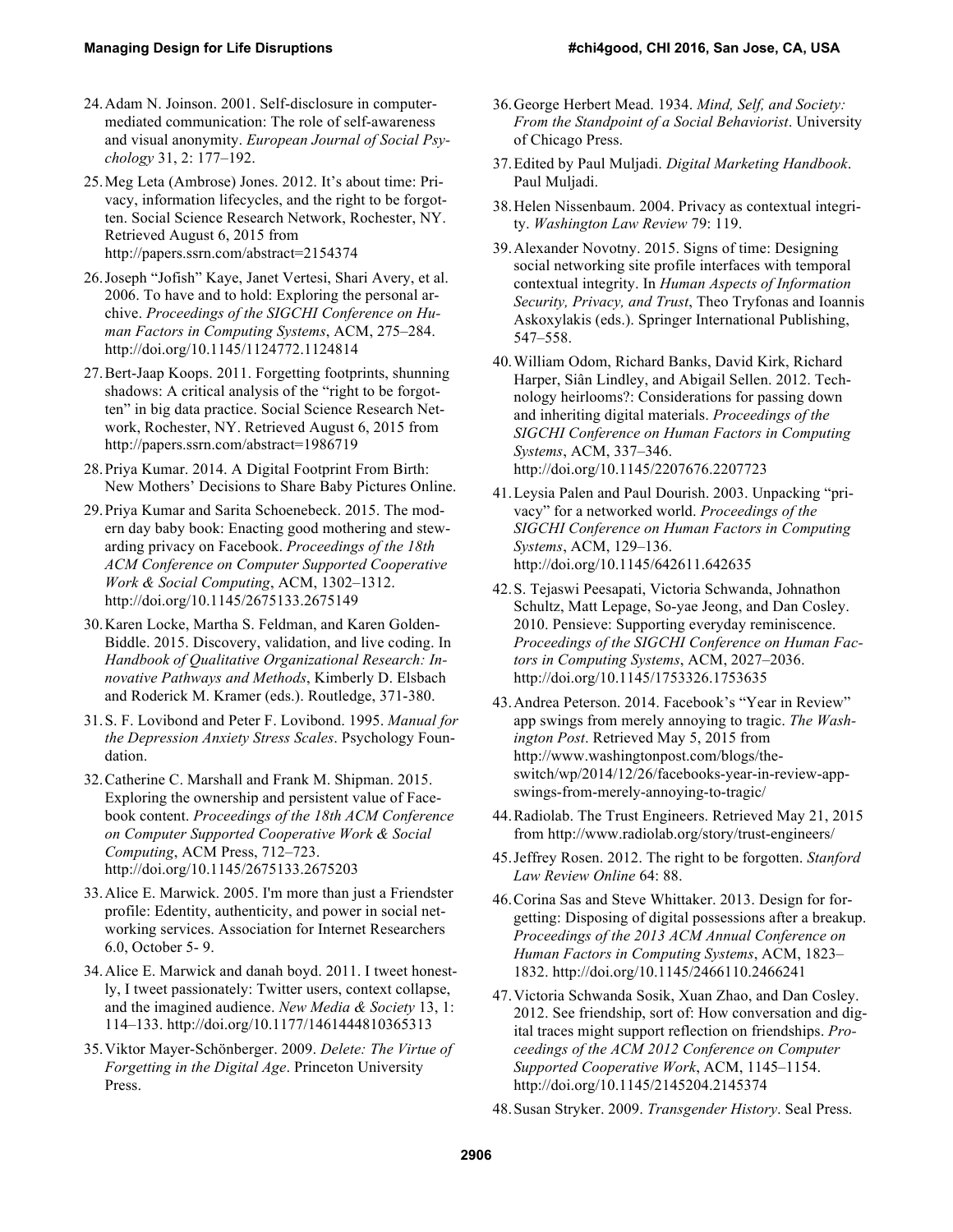- 24.Adam N. Joinson. 2001. Self-disclosure in computermediated communication: The role of self-awareness and visual anonymity. *European Journal of Social Psychology* 31, 2: 177–192.
- 25.Meg Leta (Ambrose) Jones. 2012. It's about time: Privacy, information lifecycles, and the right to be forgotten. Social Science Research Network, Rochester, NY. Retrieved August 6, 2015 from http://papers.ssrn.com/abstract=2154374
- 26.Joseph "Jofish" Kaye, Janet Vertesi, Shari Avery, et al. 2006. To have and to hold: Exploring the personal archive. *Proceedings of the SIGCHI Conference on Human Factors in Computing Systems*, ACM, 275–284. http://doi.org/10.1145/1124772.1124814
- 27.Bert-Jaap Koops. 2011. Forgetting footprints, shunning shadows: A critical analysis of the "right to be forgotten" in big data practice. Social Science Research Network, Rochester, NY. Retrieved August 6, 2015 from http://papers.ssrn.com/abstract=1986719
- 28.Priya Kumar. 2014. A Digital Footprint From Birth: New Mothers' Decisions to Share Baby Pictures Online.
- 29.Priya Kumar and Sarita Schoenebeck. 2015. The modern day baby book: Enacting good mothering and stewarding privacy on Facebook. *Proceedings of the 18th ACM Conference on Computer Supported Cooperative Work & Social Computing*, ACM, 1302–1312. http://doi.org/10.1145/2675133.2675149
- 30.Karen Locke, Martha S. Feldman, and Karen Golden-Biddle. 2015. Discovery, validation, and live coding. In *Handbook of Qualitative Organizational Research: Innovative Pathways and Methods*, Kimberly D. Elsbach and Roderick M. Kramer (eds.). Routledge, 371-380.
- 31.S. F. Lovibond and Peter F. Lovibond. 1995. *Manual for the Depression Anxiety Stress Scales*. Psychology Foundation.
- 32.Catherine C. Marshall and Frank M. Shipman. 2015. Exploring the ownership and persistent value of Facebook content. *Proceedings of the 18th ACM Conference on Computer Supported Cooperative Work & Social Computing*, ACM Press, 712–723. http://doi.org/10.1145/2675133.2675203
- 33.Alice E. Marwick. 2005. I'm more than just a Friendster profile: Edentity, authenticity, and power in social networking services. Association for Internet Researchers 6.0, October 5- 9.
- 34.Alice E. Marwick and danah boyd. 2011. I tweet honestly, I tweet passionately: Twitter users, context collapse, and the imagined audience. *New Media & Society* 13, 1: 114–133. http://doi.org/10.1177/1461444810365313
- 35.Viktor Mayer-Schönberger. 2009. *Delete: The Virtue of Forgetting in the Digital Age*. Princeton University Press.
- 36.George Herbert Mead. 1934. *Mind, Self, and Society: From the Standpoint of a Social Behaviorist*. University of Chicago Press.
- 37.Edited by Paul Muljadi. *Digital Marketing Handbook*. Paul Muljadi.
- 38.Helen Nissenbaum. 2004. Privacy as contextual integrity. *Washington Law Review* 79: 119.
- 39.Alexander Novotny. 2015. Signs of time: Designing social networking site profile interfaces with temporal contextual integrity. In *Human Aspects of Information Security, Privacy, and Trust*, Theo Tryfonas and Ioannis Askoxylakis (eds.). Springer International Publishing, 547–558.
- 40.William Odom, Richard Banks, David Kirk, Richard Harper, Siân Lindley, and Abigail Sellen. 2012. Technology heirlooms?: Considerations for passing down and inheriting digital materials. *Proceedings of the SIGCHI Conference on Human Factors in Computing Systems*, ACM, 337–346. http://doi.org/10.1145/2207676.2207723
- 41.Leysia Palen and Paul Dourish. 2003. Unpacking "privacy" for a networked world. *Proceedings of the SIGCHI Conference on Human Factors in Computing Systems*, ACM, 129–136. http://doi.org/10.1145/642611.642635
- 42.S. Tejaswi Peesapati, Victoria Schwanda, Johnathon Schultz, Matt Lepage, So-yae Jeong, and Dan Cosley. 2010. Pensieve: Supporting everyday reminiscence. *Proceedings of the SIGCHI Conference on Human Factors in Computing Systems*, ACM, 2027–2036. http://doi.org/10.1145/1753326.1753635
- 43.Andrea Peterson. 2014. Facebook's "Year in Review" app swings from merely annoying to tragic. *The Washington Post*. Retrieved May 5, 2015 from http://www.washingtonpost.com/blogs/theswitch/wp/2014/12/26/facebooks-year-in-review-appswings-from-merely-annoying-to-tragic/
- 44.Radiolab. The Trust Engineers. Retrieved May 21, 2015 from http://www.radiolab.org/story/trust-engineers/
- 45.Jeffrey Rosen. 2012. The right to be forgotten. *Stanford Law Review Online* 64: 88.
- 46.Corina Sas and Steve Whittaker. 2013. Design for forgetting: Disposing of digital possessions after a breakup. *Proceedings of the 2013 ACM Annual Conference on Human Factors in Computing Systems*, ACM, 1823– 1832. http://doi.org/10.1145/2466110.2466241
- 47.Victoria Schwanda Sosik, Xuan Zhao, and Dan Cosley. 2012. See friendship, sort of: How conversation and digital traces might support reflection on friendships. *Proceedings of the ACM 2012 Conference on Computer Supported Cooperative Work*, ACM, 1145–1154. http://doi.org/10.1145/2145204.2145374
- 48.Susan Stryker. 2009. *Transgender History*. Seal Press.